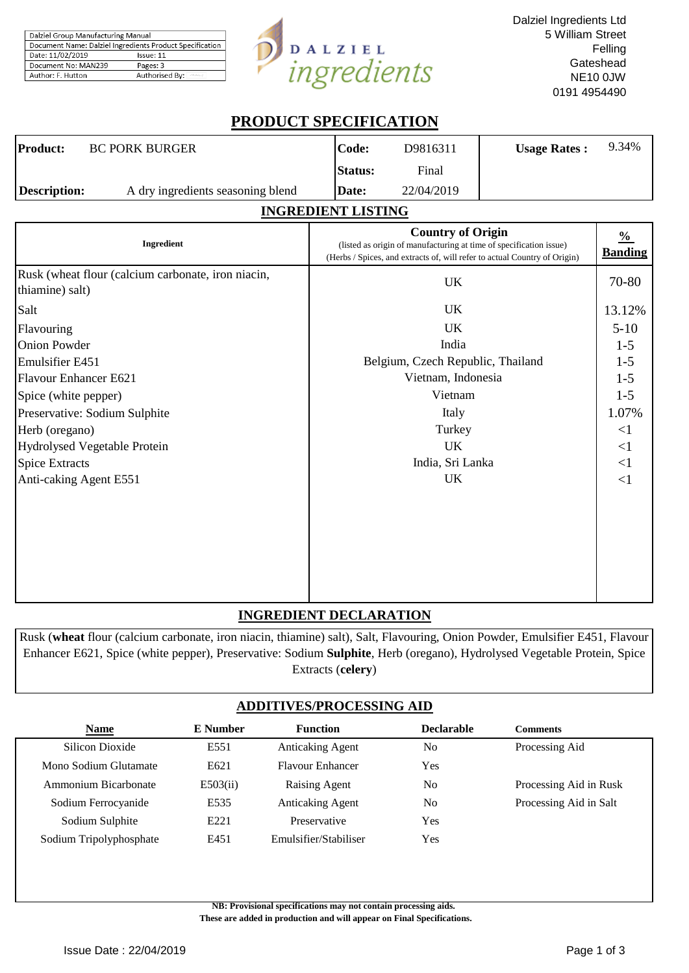| Dalziel Group Manufacturing Manual                       |                |  |  |  |
|----------------------------------------------------------|----------------|--|--|--|
| Document Name: Dalziel Ingredients Product Specification |                |  |  |  |
| Date: 11/02/2019<br>Issue: 11                            |                |  |  |  |
| Document No: MAN239                                      | Pages: 3       |  |  |  |
| Author: F. Hutton                                        | Authorised By: |  |  |  |



Dalziel Ingredients Ltd 5 William Street Felling **Gateshead** NE10 0JW 0191 4954490

# **PRODUCT SPECIFICATION**

| <b>Product:</b> | <b>BC PORK BURGER</b>             | Code:          | D9816311   | <b>Usage Rates:</b> | 9.34% |
|-----------------|-----------------------------------|----------------|------------|---------------------|-------|
|                 |                                   | <b>Status:</b> | Final      |                     |       |
| Description:    | A dry ingredients seasoning blend | Date:          | 22/04/2019 |                     |       |

# **INGREDIENT LISTING**

| Ingredient                                                            | <b>Country of Origin</b><br>(listed as origin of manufacturing at time of specification issue)<br>(Herbs / Spices, and extracts of, will refer to actual Country of Origin) | $\frac{0}{0}$<br><b>Banding</b> |
|-----------------------------------------------------------------------|-----------------------------------------------------------------------------------------------------------------------------------------------------------------------------|---------------------------------|
| Rusk (wheat flour (calcium carbonate, iron niacin,<br>thiamine) salt) | UK                                                                                                                                                                          | 70-80                           |
| Salt                                                                  | <b>UK</b>                                                                                                                                                                   | 13.12%                          |
| Flavouring                                                            | UK                                                                                                                                                                          | $5-10$                          |
| <b>Onion Powder</b>                                                   | India                                                                                                                                                                       | $1-5$                           |
| Emulsifier E451                                                       | Belgium, Czech Republic, Thailand                                                                                                                                           | $1 - 5$                         |
| Flavour Enhancer E621                                                 | Vietnam, Indonesia                                                                                                                                                          | $1 - 5$                         |
| Spice (white pepper)                                                  | Vietnam                                                                                                                                                                     | $1-5$                           |
| Preservative: Sodium Sulphite                                         | Italy                                                                                                                                                                       | 1.07%                           |
| Herb (oregano)                                                        | Turkey                                                                                                                                                                      | $\leq$ 1                        |
| Hydrolysed Vegetable Protein                                          | UK.                                                                                                                                                                         | $\leq$ 1                        |
| <b>Spice Extracts</b>                                                 | India, Sri Lanka                                                                                                                                                            | $\leq$ 1                        |
| Anti-caking Agent E551                                                | UK                                                                                                                                                                          | $\leq$ 1                        |
|                                                                       |                                                                                                                                                                             |                                 |

# **INGREDIENT DECLARATION**

Rusk (**wheat** flour (calcium carbonate, iron niacin, thiamine) salt), Salt, Flavouring, Onion Powder, Emulsifier E451, Flavour Enhancer E621, Spice (white pepper), Preservative: Sodium **Sulphite**, Herb (oregano), Hydrolysed Vegetable Protein, Spice Extracts (**celery**)

# **ADDITIVES/PROCESSING AID**

| <b>Name</b>             | E Number | <b>Function</b>         | <b>Declarable</b> | Comments               |
|-------------------------|----------|-------------------------|-------------------|------------------------|
| Silicon Dioxide         | E551     | <b>Anticaking Agent</b> | No                | Processing Aid         |
| Mono Sodium Glutamate   | E621     | <b>Flavour Enhancer</b> | Yes               |                        |
| Ammonium Bicarbonate    | E503(ii) | Raising Agent           | No                | Processing Aid in Rusk |
| Sodium Ferrocyanide     | E535     | <b>Anticaking Agent</b> | N <sub>0</sub>    | Processing Aid in Salt |
| Sodium Sulphite         | E221     | Preservative            | Yes               |                        |
| Sodium Tripolyphosphate | E451     | Emulsifier/Stabiliser   | Yes               |                        |
|                         |          |                         |                   |                        |

**NB: Provisional specifications may not contain processing aids.** 

 **These are added in production and will appear on Final Specifications.**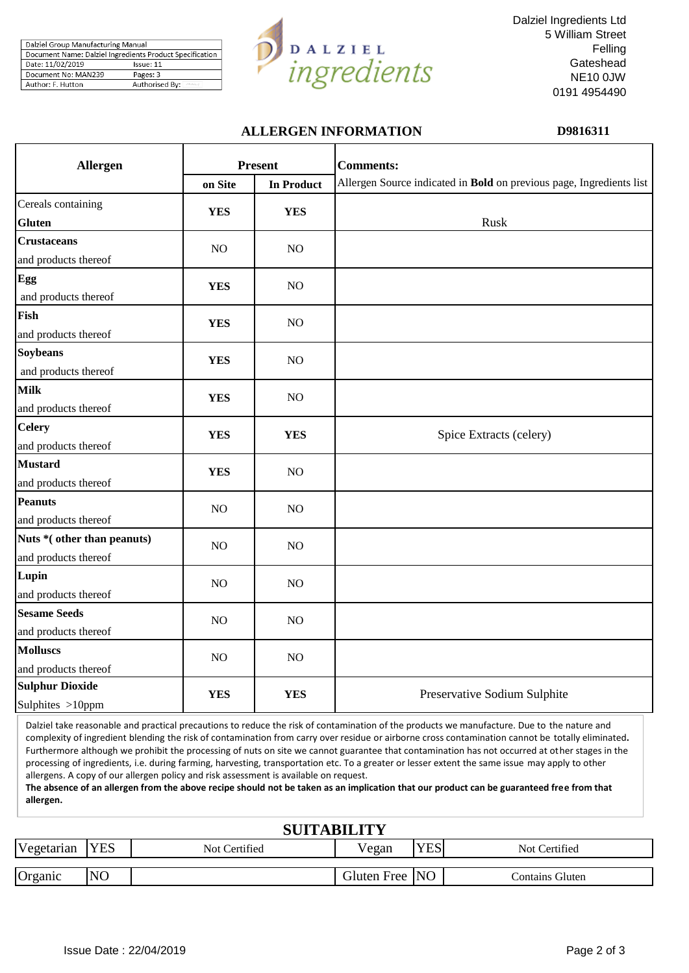| Dalziel Group Manufacturing Manual                       |                |  |  |  |
|----------------------------------------------------------|----------------|--|--|--|
| Document Name: Dalziel Ingredients Product Specification |                |  |  |  |
| Date: 11/02/2019                                         | Issue: 11      |  |  |  |
| Document No: MAN239                                      | Pages: 3       |  |  |  |
| Author: F. Hutton                                        | Authorised By: |  |  |  |



Dalziel Ingredients Ltd 5 William Street Felling **Gateshead** NE10 0JW 0191 4954490

## **ALLERGEN INFORMATION D9816311**

| Allergen                                           |            | <b>Present</b>    | <b>Comments:</b>                                                     |
|----------------------------------------------------|------------|-------------------|----------------------------------------------------------------------|
|                                                    | on Site    | <b>In Product</b> | Allergen Source indicated in Bold on previous page, Ingredients list |
| Cereals containing<br><b>Gluten</b>                | <b>YES</b> | <b>YES</b>        | Rusk                                                                 |
| <b>Crustaceans</b><br>and products thereof         | NO         | NO                |                                                                      |
| Egg<br>and products thereof                        | <b>YES</b> | NO                |                                                                      |
| Fish<br>and products thereof                       | <b>YES</b> | N <sub>O</sub>    |                                                                      |
| <b>Soybeans</b><br>and products thereof            | <b>YES</b> | NO                |                                                                      |
| <b>Milk</b><br>and products thereof                | <b>YES</b> | NO                |                                                                      |
| <b>Celery</b><br>and products thereof              | <b>YES</b> | <b>YES</b>        | Spice Extracts (celery)                                              |
| <b>Mustard</b><br>and products thereof             | <b>YES</b> | NO                |                                                                      |
| <b>Peanuts</b><br>and products thereof             | NO         | NO                |                                                                      |
| Nuts *(other than peanuts)<br>and products thereof | NO         | NO                |                                                                      |
| Lupin<br>and products thereof                      | NO         | NO                |                                                                      |
| <b>Sesame Seeds</b><br>and products thereof        | NO         | NO                |                                                                      |
| <b>Molluscs</b><br>and products thereof            | NO         | NO                |                                                                      |
| <b>Sulphur Dioxide</b><br>Sulphites >10ppm         | <b>YES</b> | <b>YES</b>        | Preservative Sodium Sulphite                                         |

Dalziel take reasonable and practical precautions to reduce the risk of contamination of the products we manufacture. Due to the nature and complexity of ingredient blending the risk of contamination from carry over residue or airborne cross contamination cannot be totally eliminated**.**  Furthermore although we prohibit the processing of nuts on site we cannot guarantee that contamination has not occurred at other stages in the processing of ingredients, i.e. during farming, harvesting, transportation etc. To a greater or lesser extent the same issue may apply to other allergens. A copy of our allergen policy and risk assessment is available on request.

**The absence of an allergen from the above recipe should not be taken as an implication that our product can be guaranteed free from that allergen.**

| <b>SUITABILITY</b> |                |               |                |            |                 |  |  |  |
|--------------------|----------------|---------------|----------------|------------|-----------------|--|--|--|
| Vegetarian         | <b>YES</b>     | Not Certified | Vegan          | <b>YES</b> | Not Certified   |  |  |  |
| Organic            | N <sub>O</sub> |               | Gluten Free NO |            | Contains Gluten |  |  |  |